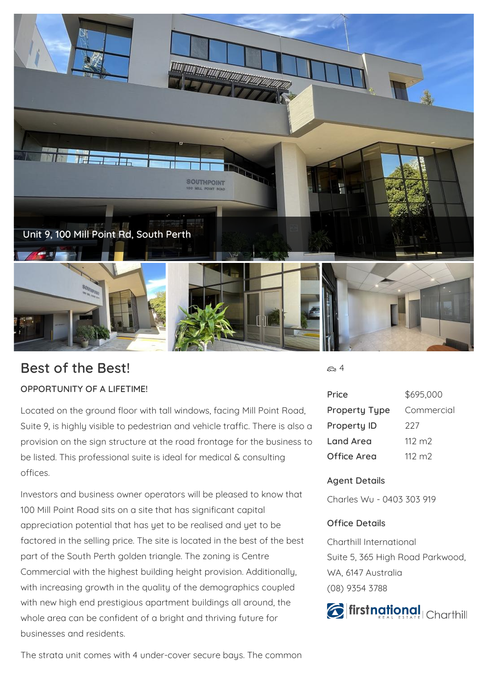

## **Best of the Best!**

## **OPPORTUNITY OF A LIFETIME!**

Located on the ground floor with tall windows, facing Mill Point Road, Suite 9, is highly visible to pedestrian and vehicle traffic. There is also a provision on the sign structure at the road frontage for the business to be listed. This professional suite is ideal for medical & consulting offices.

Investors and business owner operators will be pleased to know that 100 Mill Point Road sits on a site that has significant capital appreciation potential that has yet to be realised and yet to be factored in the selling price. The site is located in the best of the best part of the South Perth golden triangle. The zoning is Centre Commercial with the highest building height provision. Additionally, with increasing growth in the quality of the demographics coupled with new high end prestigious apartment buildings all around, the whole area can be confident of a bright and thriving future for businesses and residents.

The strata unit comes with 4 under-cover secure bays. The common

<del>යා</del> 4

| Price                | \$695,000       |
|----------------------|-----------------|
| <b>Property Type</b> | Commercial      |
| <b>Property ID</b>   | 227             |
| Land Area            | $112 \text{ m}$ |
| Office Area          | $112 \text{ m}$ |

## **Agent Details**

Charles Wu - 0403 303 919

## **Office Details**

Charthill International Suite 5, 365 High Road Parkwood, WA, 6147 Australia (08) 9354 3788